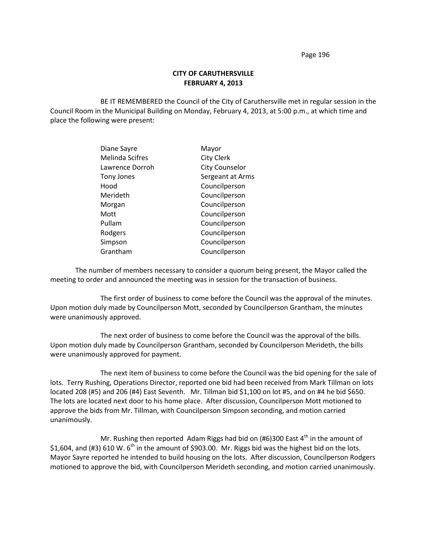# **CITY OF CARUTHERSVILLE FEBRUARY 4, 2013**

BE IT REMEMBERED the Council of the City of Caruthersville met in regular session in the Council Room in the Municipal Building on Monday, February 4, 2013, at 5:00 p.m., at which time and place the following were present:

| Diane Sayre            | Mayor                 |
|------------------------|-----------------------|
| <b>Melinda Scifres</b> | <b>City Clerk</b>     |
| Lawrence Dorroh        | <b>City Counselor</b> |
| Tony Jones             | Sergeant at Arms      |
| Hood                   | Councilperson         |
| Merideth               | Councilperson         |
| Morgan                 | Councilperson         |
| Mott                   | Councilperson         |
| Pullam                 | Councilperson         |
| Rodgers                | Councilperson         |
| Simpson                | Councilperson         |
| Grantham               | Councilperson         |

The number of members necessary to consider a quorum being present, the Mayor called the meeting to order and announced the meeting was in session for the transaction of business.

The first order of business to come before the Council was the approval of the minutes. Upon motion duly made by Councilperson Mott, seconded by Councilperson Grantham, the minutes were unanimously approved.

The next order of business to come before the Council was the approval of the bills. Upon motion duly made by Councilperson Grantham, seconded by Councilperson Merideth, the bills were unanimously approved for payment.

The next item of business to come before the Council was the bid opening for the sale of lots. Terry Rushing, Operations Director, reported one bid had been received from Mark Tillman on lots located 208 (#5) and 206 (#4) East Seventh. Mr. Tillman bid \$1,100 on lot #5, and on #4 he bid \$650. The lots are located next door to his home place. After discussion, Councilperson Mott motioned to approve the bids from Mr. Tillman, with Councilperson Simpson seconding, and motion carried unanimously.

Mr. Rushing then reported Adam Riggs had bid on (#6)300 East  $4^{\text{th}}$  in the amount of \$1,604, and (#3) 610 W.  $6^{th}$  in the amount of \$903.00. Mr. Riggs bid was the highest bid on the lots. Mayor Sayre reported he intended to build housing on the lots. After discussion, Councilperson Rodgers motioned to approve the bid, with Councilperson Merideth seconding, and motion carried unanimously.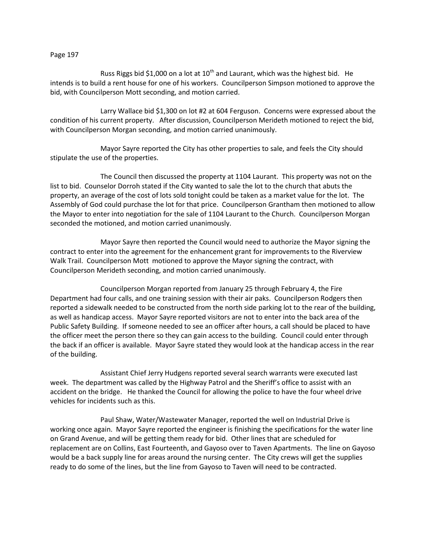Russ Riggs bid \$1,000 on a lot at  $10^{th}$  and Laurant, which was the highest bid. He intends is to build a rent house for one of his workers. Councilperson Simpson motioned to approve the bid, with Councilperson Mott seconding, and motion carried.

Larry Wallace bid \$1,300 on lot #2 at 604 Ferguson. Concerns were expressed about the condition of his current property. After discussion, Councilperson Merideth motioned to reject the bid, with Councilperson Morgan seconding, and motion carried unanimously.

Mayor Sayre reported the City has other properties to sale, and feels the City should stipulate the use of the properties.

The Council then discussed the property at 1104 Laurant. This property was not on the list to bid. Counselor Dorroh stated if the City wanted to sale the lot to the church that abuts the property, an average of the cost of lots sold tonight could be taken as a market value for the lot. The Assembly of God could purchase the lot for that price. Councilperson Grantham then motioned to allow the Mayor to enter into negotiation for the sale of 1104 Laurant to the Church. Councilperson Morgan seconded the motioned, and motion carried unanimously.

Mayor Sayre then reported the Council would need to authorize the Mayor signing the contract to enter into the agreement for the enhancement grant for improvements to the Riverview Walk Trail. Councilperson Mott motioned to approve the Mayor signing the contract, with Councilperson Merideth seconding, and motion carried unanimously.

Councilperson Morgan reported from January 25 through February 4, the Fire Department had four calls, and one training session with their air paks. Councilperson Rodgers then reported a sidewalk needed to be constructed from the north side parking lot to the rear of the building, as well as handicap access. Mayor Sayre reported visitors are not to enter into the back area of the Public Safety Building. If someone needed to see an officer after hours, a call should be placed to have the officer meet the person there so they can gain access to the building. Council could enter through the back if an officer is available. Mayor Sayre stated they would look at the handicap access in the rear of the building.

Assistant Chief Jerry Hudgens reported several search warrants were executed last week. The department was called by the Highway Patrol and the Sheriff's office to assist with an accident on the bridge. He thanked the Council for allowing the police to have the four wheel drive vehicles for incidents such as this.

Paul Shaw, Water/Wastewater Manager, reported the well on Industrial Drive is working once again. Mayor Sayre reported the engineer is finishing the specifications for the water line on Grand Avenue, and will be getting them ready for bid. Other lines that are scheduled for replacement are on Collins, East Fourteenth, and Gayoso over to Taven Apartments. The line on Gayoso would be a back supply line for areas around the nursing center. The City crews will get the supplies ready to do some of the lines, but the line from Gayoso to Taven will need to be contracted.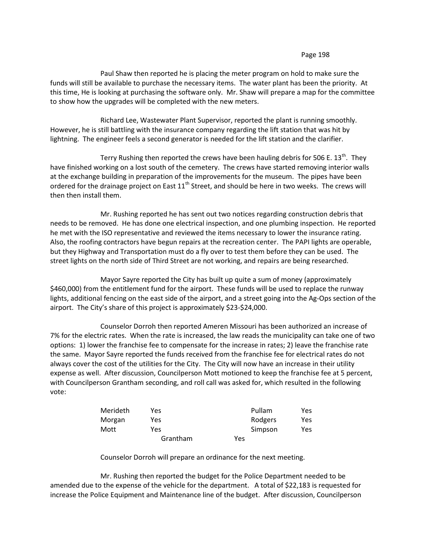Paul Shaw then reported he is placing the meter program on hold to make sure the funds will still be available to purchase the necessary items. The water plant has been the priority. At this time, He is looking at purchasing the software only. Mr. Shaw will prepare a map for the committee to show how the upgrades will be completed with the new meters.

Richard Lee, Wastewater Plant Supervisor, reported the plant is running smoothly. However, he is still battling with the insurance company regarding the lift station that was hit by lightning. The engineer feels a second generator is needed for the lift station and the clarifier.

Terry Rushing then reported the crews have been hauling debris for 506 E. 13<sup>th</sup>. They have finished working on a lost south of the cemetery. The crews have started removing interior walls at the exchange building in preparation of the improvements for the museum. The pipes have been ordered for the drainage project on East  $11<sup>th</sup>$  Street, and should be here in two weeks. The crews will then then install them.

Mr. Rushing reported he has sent out two notices regarding construction debris that needs to be removed. He has done one electrical inspection, and one plumbing inspection. He reported he met with the ISO representative and reviewed the items necessary to lower the insurance rating. Also, the roofing contractors have begun repairs at the recreation center. The PAPI lights are operable, but they Highway and Transportation must do a fly over to test them before they can be used. The street lights on the north side of Third Street are not working, and repairs are being researched.

Mayor Sayre reported the City has built up quite a sum of money (approximately \$460,000) from the entitlement fund for the airport. These funds will be used to replace the runway lights, additional fencing on the east side of the airport, and a street going into the Ag-Ops section of the airport. The City's share of this project is approximately \$23-\$24,000.

Counselor Dorroh then reported Ameren Missouri has been authorized an increase of 7% for the electric rates. When the rate is increased, the law reads the municipality can take one of two options: 1) lower the franchise fee to compensate for the increase in rates; 2) leave the franchise rate the same. Mayor Sayre reported the funds received from the franchise fee for electrical rates do not always cover the cost of the utilities for the City. The City will now have an increase in their utility expense as well. After discussion, Councilperson Mott motioned to keep the franchise fee at 5 percent, with Councilperson Grantham seconding, and roll call was asked for, which resulted in the following vote:

| Merideth | Yes      | Pullam  | Yes |
|----------|----------|---------|-----|
| Morgan   | Yes.     | Rodgers | Yes |
| Mott     | Yes      | Simpson | Yes |
|          | Grantham | Yes     |     |

Counselor Dorroh will prepare an ordinance for the next meeting.

Mr. Rushing then reported the budget for the Police Department needed to be amended due to the expense of the vehicle for the department. A total of \$22,183 is requested for increase the Police Equipment and Maintenance line of the budget. After discussion, Councilperson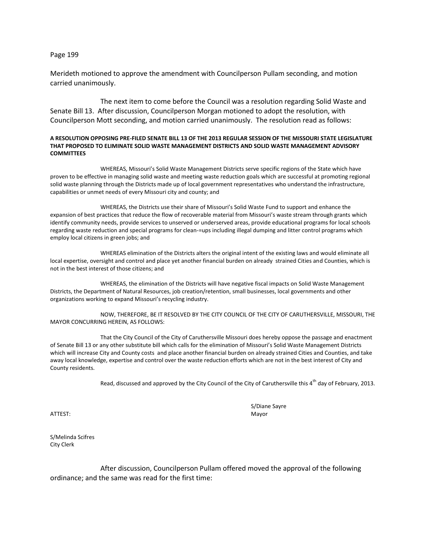Merideth motioned to approve the amendment with Councilperson Pullam seconding, and motion carried unanimously.

The next item to come before the Council was a resolution regarding Solid Waste and Senate Bill 13. After discussion, Councilperson Morgan motioned to adopt the resolution, with Councilperson Mott seconding, and motion carried unanimously. The resolution read as follows:

#### **A RESOLUTION OPPOSING PRE-FILED SENATE BILL 13 OF THE 2013 REGULAR SESSION OF THE MISSOURI STATE LEGISLATURE THAT PROPOSED TO ELIMINATE SOLID WASTE MANAGEMENT DISTRICTS AND SOLID WASTE MANAGEMENT ADVISORY COMMITTEES**

WHEREAS, Missouri's Solid Waste Management Districts serve specific regions of the State which have proven to be effective in managing solid waste and meeting waste reduction goals which are successful at promoting regional solid waste planning through the Districts made up of local government representatives who understand the infrastructure, capabilities or unmet needs of every Missouri city and county; and

WHEREAS, the Districts use their share of Missouri's Solid Waste Fund to support and enhance the expansion of best practices that reduce the flow of recoverable material from Missouri's waste stream through grants which identify community needs, provide services to unserved or underserved areas, provide educational programs for local schools regarding waste reduction and special programs for clean-=ups including illegal dumping and litter control programs which employ local citizens in green jobs; and

WHEREAS elimination of the Districts alters the original intent of the existing laws and would eliminate all local expertise, oversight and control and place yet another financial burden on already strained Cities and Counties, which is not in the best interest of those citizens; and

WHEREAS, the elimination of the Districts will have negative fiscal impacts on Solid Waste Management Districts, the Department of Natural Resources, job creation/retention, small businesses, local governments and other organizations working to expand Missouri's recycling industry.

NOW, THEREFORE, BE IT RESOLVED BY THE CITY COUNCIL OF THE CITY OF CARUTHERSVILLE, MISSOURI, THE MAYOR CONCURRING HEREIN, AS FOLLOWS:

That the City Council of the City of Caruthersville Missouri does hereby oppose the passage and enactment of Senate Bill 13 or any other substitute bill which calls for the elimination of Missouri's Solid Waste Management Districts which will increase City and County costs and place another financial burden on already strained Cities and Counties, and take away local knowledge, expertise and control over the waste reduction efforts which are not in the best interest of City and County residents.

Read, discussed and approved by the City Council of the City of Caruthersville this 4<sup>th</sup> day of February, 2013.

ATTEST: Mayor

S/Diane Sayre

S/Melinda Scifres City Clerk

After discussion, Councilperson Pullam offered moved the approval of the following ordinance; and the same was read for the first time: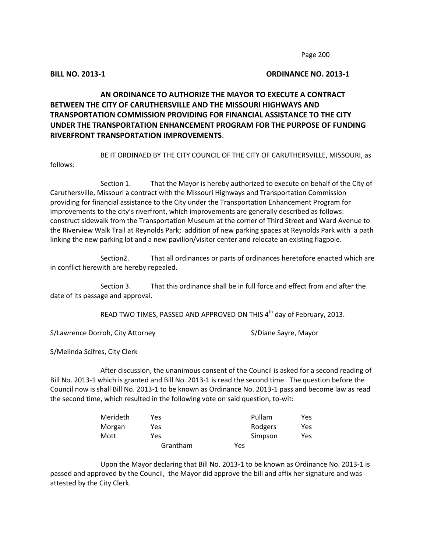# **BILL NO. 2013-1 ORDINANCE NO. 2013-1**

# **AN ORDINANCE TO AUTHORIZE THE MAYOR TO EXECUTE A CONTRACT BETWEEN THE CITY OF CARUTHERSVILLE AND THE MISSOURI HIGHWAYS AND TRANSPORTATION COMMISSION PROVIDING FOR FINANCIAL ASSISTANCE TO THE CITY UNDER THE TRANSPORTATION ENHANCEMENT PROGRAM FOR THE PURPOSE OF FUNDING RIVERFRONT TRANSPORTATION IMPROVEMENTS**.

BE IT ORDINAED BY THE CITY COUNCIL OF THE CITY OF CARUTHERSVILLE, MISSOURI, as follows:

Section 1. That the Mayor is hereby authorized to execute on behalf of the City of Caruthersville, Missouri a contract with the Missouri Highways and Transportation Commission providing for financial assistance to the City under the Transportation Enhancement Program for improvements to the city's riverfront, which improvements are generally described as follows: construct sidewalk from the Transportation Museum at the corner of Third Street and Ward Avenue to the Riverview Walk Trail at Reynolds Park; addition of new parking spaces at Reynolds Park with a path linking the new parking lot and a new pavilion/visitor center and relocate an existing flagpole.

Section2. That all ordinances or parts of ordinances heretofore enacted which are in conflict herewith are hereby repealed.

Section 3. That this ordinance shall be in full force and effect from and after the date of its passage and approval.

READ TWO TIMES, PASSED AND APPROVED ON THIS 4<sup>th</sup> day of February, 2013.

S/Lawrence Dorroh, City Attorney S/Lawrence Sayre, Mayor

S/Melinda Scifres, City Clerk

After discussion, the unanimous consent of the Council is asked for a second reading of Bill No. 2013-1 which is granted and Bill No. 2013-1 is read the second time. The question before the Council now is shall Bill No. 2013-1 to be known as Ordinance No. 2013-1 pass and become law as read the second time, which resulted in the following vote on said question, to-wit:

| Merideth | Yes      | Pullam  | Yes |
|----------|----------|---------|-----|
| Morgan   | Yes      | Rodgers | Yes |
| Mott     | Yes      | Simpson | Yes |
|          | Grantham | Yes     |     |

Upon the Mayor declaring that Bill No. 2013-1 to be known as Ordinance No. 2013-1 is passed and approved by the Council, the Mayor did approve the bill and affix her signature and was attested by the City Clerk.